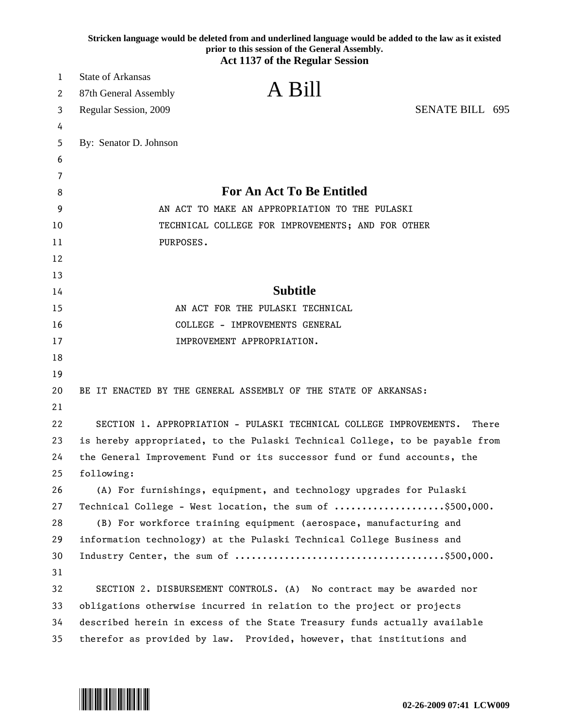|    | Stricken language would be deleted from and underlined language would be added to the law as it existed<br>prior to this session of the General Assembly.<br><b>Act 1137 of the Regular Session</b> |
|----|-----------------------------------------------------------------------------------------------------------------------------------------------------------------------------------------------------|
| 1  | <b>State of Arkansas</b>                                                                                                                                                                            |
| 2  | A Bill<br>87th General Assembly                                                                                                                                                                     |
| 3  | <b>SENATE BILL 695</b><br>Regular Session, 2009                                                                                                                                                     |
| 4  |                                                                                                                                                                                                     |
| 5  | By: Senator D. Johnson                                                                                                                                                                              |
| 6  |                                                                                                                                                                                                     |
| 7  |                                                                                                                                                                                                     |
| 8  | For An Act To Be Entitled                                                                                                                                                                           |
| 9  | AN ACT TO MAKE AN APPROPRIATION TO THE PULASKI                                                                                                                                                      |
| 10 | TECHNICAL COLLEGE FOR IMPROVEMENTS; AND FOR OTHER                                                                                                                                                   |
| 11 | PURPOSES.                                                                                                                                                                                           |
| 12 |                                                                                                                                                                                                     |
| 13 |                                                                                                                                                                                                     |
| 14 | <b>Subtitle</b>                                                                                                                                                                                     |
| 15 | AN ACT FOR THE PULASKI TECHNICAL                                                                                                                                                                    |
| 16 | COLLEGE - IMPROVEMENTS GENERAL                                                                                                                                                                      |
| 17 | IMPROVEMENT APPROPRIATION.                                                                                                                                                                          |
| 18 |                                                                                                                                                                                                     |
| 19 |                                                                                                                                                                                                     |
| 20 | BE IT ENACTED BY THE GENERAL ASSEMBLY OF THE STATE OF ARKANSAS:                                                                                                                                     |
| 21 |                                                                                                                                                                                                     |
| 22 | SECTION 1. APPROPRIATION - PULASKI TECHNICAL COLLEGE IMPROVEMENTS.<br>There                                                                                                                         |
| 23 | is hereby appropriated, to the Pulaski Technical College, to be payable from                                                                                                                        |
| 24 | the General Improvement Fund or its successor fund or fund accounts, the                                                                                                                            |
| 25 | following:                                                                                                                                                                                          |
| 26 | (A) For furnishings, equipment, and technology upgrades for Pulaski                                                                                                                                 |
| 27 | Technical College - West location, the sum of \$500,000.                                                                                                                                            |
| 28 | (B) For workforce training equipment (aerospace, manufacturing and                                                                                                                                  |
| 29 | information technology) at the Pulaski Technical College Business and                                                                                                                               |
| 30 |                                                                                                                                                                                                     |
| 31 |                                                                                                                                                                                                     |
| 32 | SECTION 2. DISBURSEMENT CONTROLS. (A) No contract may be awarded nor                                                                                                                                |
| 33 | obligations otherwise incurred in relation to the project or projects                                                                                                                               |
| 34 | described herein in excess of the State Treasury funds actually available                                                                                                                           |
| 35 | therefor as provided by law. Provided, however, that institutions and                                                                                                                               |